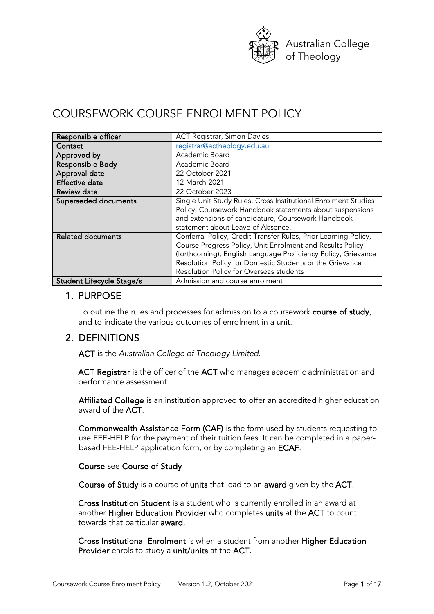

# COURSEWORK COURSE ENROLMENT POLICY

| Responsible officer                                                                    | <b>ACT Registrar, Simon Davies</b>                              |  |  |
|----------------------------------------------------------------------------------------|-----------------------------------------------------------------|--|--|
|                                                                                        |                                                                 |  |  |
| Contact                                                                                | registrar@actheology.edu.au                                     |  |  |
| Approved by                                                                            | Academic Board                                                  |  |  |
| Responsible Body                                                                       | Academic Board                                                  |  |  |
| Approval date                                                                          | 22 October 2021                                                 |  |  |
| <b>Effective date</b>                                                                  | 12 March 2021                                                   |  |  |
| <b>Review date</b>                                                                     | 22 October 2023                                                 |  |  |
| Superseded documents<br>Single Unit Study Rules, Cross Institutional Enrolment Studies |                                                                 |  |  |
|                                                                                        | Policy, Coursework Handbook statements about suspensions        |  |  |
|                                                                                        | and extensions of candidature, Coursework Handbook              |  |  |
|                                                                                        | statement about Leave of Absence.                               |  |  |
| <b>Related documents</b>                                                               | Conferral Policy, Credit Transfer Rules, Prior Learning Policy, |  |  |
|                                                                                        | Course Progress Policy, Unit Enrolment and Results Policy       |  |  |
|                                                                                        | (forthcoming), English Language Proficiency Policy, Grievance   |  |  |
|                                                                                        | Resolution Policy for Domestic Students or the Grievance        |  |  |
|                                                                                        | Resolution Policy for Overseas students                         |  |  |
| <b>Student Lifecycle Stage/s</b>                                                       | Admission and course enrolment                                  |  |  |

## 1. PURPOSE

To outline the rules and processes for admission to a coursework course of study, and to indicate the various outcomes of enrolment in a unit.

# 2. DEFINITIONS

ACT is the *Australian College of Theology Limited*.

ACT Registrar is the officer of the ACT who manages academic administration and performance assessment.

Affiliated College is an institution approved to offer an accredited higher education award of the ACT.

Commonwealth Assistance Form (CAF) is the form used by students requesting to use FEE-HELP for the payment of their tuition fees. It can be completed in a paperbased FEE-HELP application form, or by completing an ECAF.

#### Course see Course of Study

Course of Study is a course of units that lead to an award given by the ACT.

Cross Institution Student is a student who is currently enrolled in an award at another Higher Education Provider who completes units at the ACT to count towards that particular award.

Cross Institutional Enrolment is when a student from another Higher Education Provider enrols to study a unit/units at the ACT.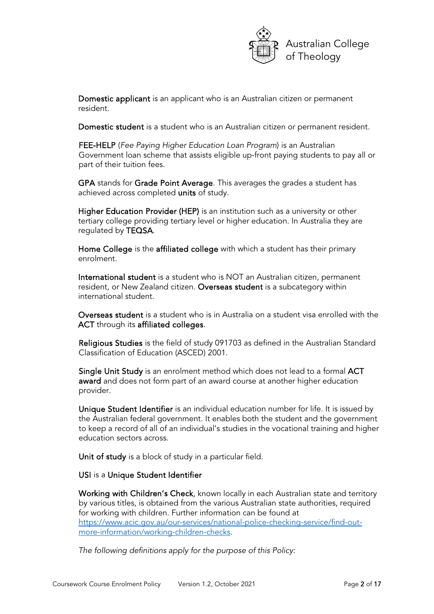

Domestic applicant is an applicant who is an Australian citizen or permanent resident.

Domestic student is a student who is an Australian citizen or permanent resident.

FEE-HELP (*Fee Paying Higher Education Loan Program*) is an Australian Government loan scheme that assists eligible up-front paying students to pay all or part of their tuition fees.

GPA stands for Grade Point Average. This averages the grades a student has achieved across completed units of study.

Higher Education Provider (HEP) is an institution such as a university or other tertiary college providing tertiary level or higher education. In Australia they are regulated by TEQSA.

Home College is the affiliated college with which a student has their primary enrolment.

International student is a student who is NOT an Australian citizen, permanent resident, or New Zealand citizen. Overseas student is a subcategory within international student.

Overseas student is a student who is in Australia on a student visa enrolled with the ACT through its affiliated colleges.

Religious Studies is the field of study 091703 as defined in the Australian Standard Classification of Education (ASCED) 2001.

Single Unit Study is an enrolment method which does not lead to a formal ACT award and does not form part of an award course at another higher education provider.

Unique Student Identifier is an individual education number for life. It is issued by the Australian federal government. It enables both the student and the government to keep a record of all of an individual's studies in the vocational training and higher education sectors across.

Unit of study is a block of study in a particular field.

#### USI is a Unique Student Identifier

Working with Children's Check, known locally in each Australian state and territory by various titles, is obtained from the various Australian state authorities, required for working with children. Further information can be found at [https://www.acic.gov.au/our-services/national-police-checking-service/find-out](https://www.acic.gov.au/our-services/national-police-checking-service/find-out-more-information/working-children-checks)[more-information/working-children-checks.](https://www.acic.gov.au/our-services/national-police-checking-service/find-out-more-information/working-children-checks)

*The following definitions apply for the purpose of this Policy:*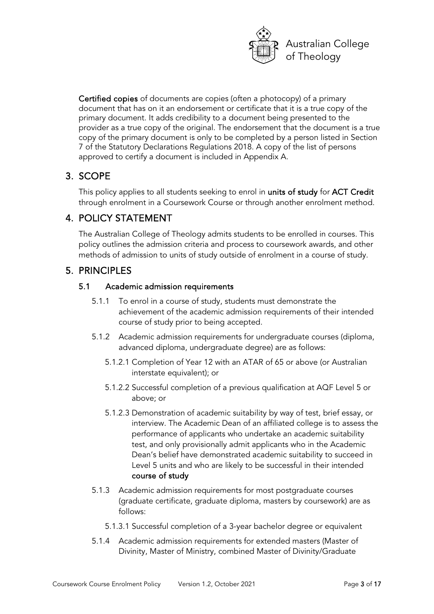

Certified copies of documents are copies (often a photocopy) of a primary document that has on it an endorsement or certificate that it is a true copy of the primary document. It adds credibility to a document being presented to the provider as a true copy of the original. The endorsement that the document is a true copy of the primary document is only to be completed by a person listed in Section 7 of the Statutory Declarations Regulations 2018. A copy of the list of persons approved to certify a document is included in Appendix A.

# 3. SCOPE

This policy applies to all students seeking to enrol in units of study for ACT Credit through enrolment in a Coursework Course or through another enrolment method.

# 4. POLICY STATEMENT

The Australian College of Theology admits students to be enrolled in courses. This policy outlines the admission criteria and process to coursework awards, and other methods of admission to units of study outside of enrolment in a course of study.

# 5. PRINCIPLES

# 5.1 Academic admission requirements

- 5.1.1 To enrol in a course of study, students must demonstrate the achievement of the academic admission requirements of their intended course of study prior to being accepted.
- 5.1.2 Academic admission requirements for undergraduate courses (diploma, advanced diploma, undergraduate degree) are as follows:
	- 5.1.2.1 Completion of Year 12 with an ATAR of 65 or above (or Australian interstate equivalent); or
	- 5.1.2.2 Successful completion of a previous qualification at AQF Level 5 or above; or
	- 5.1.2.3 Demonstration of academic suitability by way of test, brief essay, or interview. The Academic Dean of an affiliated college is to assess the performance of applicants who undertake an academic suitability test, and only provisionally admit applicants who in the Academic Dean's belief have demonstrated academic suitability to succeed in Level 5 units and who are likely to be successful in their intended course of study
- 5.1.3 Academic admission requirements for most postgraduate courses (graduate certificate, graduate diploma, masters by coursework) are as follows:
	- 5.1.3.1 Successful completion of a 3-year bachelor degree or equivalent
- 5.1.4 Academic admission requirements for extended masters (Master of Divinity, Master of Ministry, combined Master of Divinity/Graduate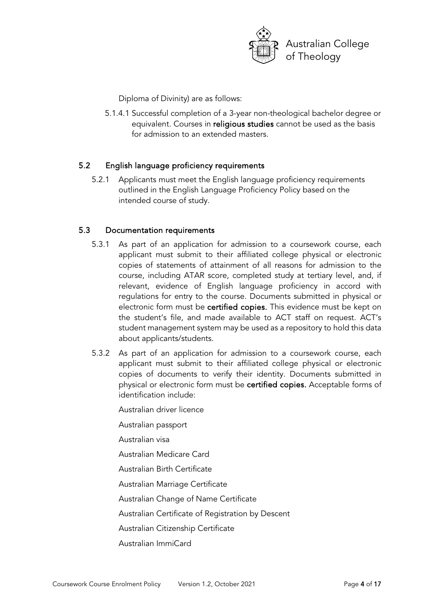

Diploma of Divinity) are as follows:

5.1.4.1 Successful completion of a 3-year non-theological bachelor degree or equivalent. Courses in religious studies cannot be used as the basis for admission to an extended masters.

### 5.2 English language proficiency requirements

5.2.1 Applicants must meet the English language proficiency requirements outlined in the English Language Proficiency Policy based on the intended course of study.

### 5.3 Documentation requirements

- 5.3.1 As part of an application for admission to a coursework course, each applicant must submit to their affiliated college physical or electronic copies of statements of attainment of all reasons for admission to the course, including ATAR score, completed study at tertiary level, and, if relevant, evidence of English language proficiency in accord with regulations for entry to the course. Documents submitted in physical or electronic form must be certified copies. This evidence must be kept on the student's file, and made available to ACT staff on request. ACT's student management system may be used as a repository to hold this data about applicants/students.
- 5.3.2 As part of an application for admission to a coursework course, each applicant must submit to their affiliated college physical or electronic copies of documents to verify their identity. Documents submitted in physical or electronic form must be certified copies. Acceptable forms of identification include:

Australian driver licence

Australian passport

Australian visa

Australian Medicare Card

Australian Birth Certificate

Australian Marriage Certificate

Australian Change of Name Certificate

Australian Certificate of Registration by Descent

Australian Citizenship Certificate

Australian ImmiCard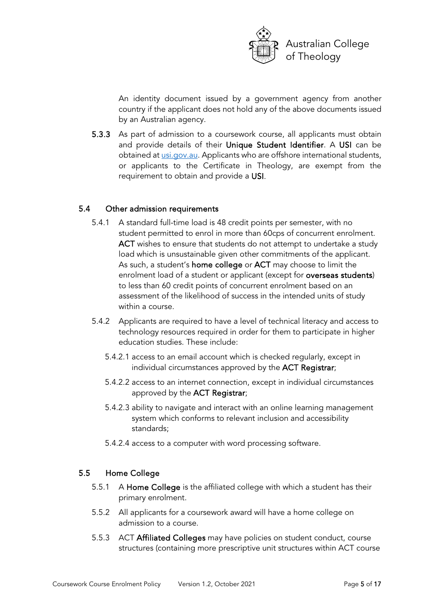

An identity document issued by a government agency from another country if the applicant does not hold any of the above documents issued by an Australian agency.

5.3.3 As part of admission to a coursework course, all applicants must obtain and provide details of their Unique Student Identifier. A USI can be obtained at *usi.gov.au*. Applicants who are offshore international students, or applicants to the Certificate in Theology, are exempt from the requirement to obtain and provide a USI.

#### 5.4 Other admission requirements

- 5.4.1 A standard full-time load is 48 credit points per semester, with no student permitted to enrol in more than 60cps of concurrent enrolment. ACT wishes to ensure that students do not attempt to undertake a study load which is unsustainable given other commitments of the applicant. As such, a student's home college or ACT may choose to limit the enrolment load of a student or applicant (except for overseas students) to less than 60 credit points of concurrent enrolment based on an assessment of the likelihood of success in the intended units of study within a course.
- 5.4.2 Applicants are required to have a level of technical literacy and access to technology resources required in order for them to participate in higher education studies. These include:
	- 5.4.2.1 access to an email account which is checked regularly, except in individual circumstances approved by the ACT Registrar;
	- 5.4.2.2 access to an internet connection, except in individual circumstances approved by the ACT Registrar;
	- 5.4.2.3 ability to navigate and interact with an online learning management system which conforms to relevant inclusion and accessibility standards;
	- 5.4.2.4 access to a computer with word processing software.

#### 5.5 Home College

- 5.5.1 A Home College is the affiliated college with which a student has their primary enrolment.
- 5.5.2 All applicants for a coursework award will have a home college on admission to a course.
- 5.5.3 ACT Affiliated Colleges may have policies on student conduct, course structures (containing more prescriptive unit structures within ACT course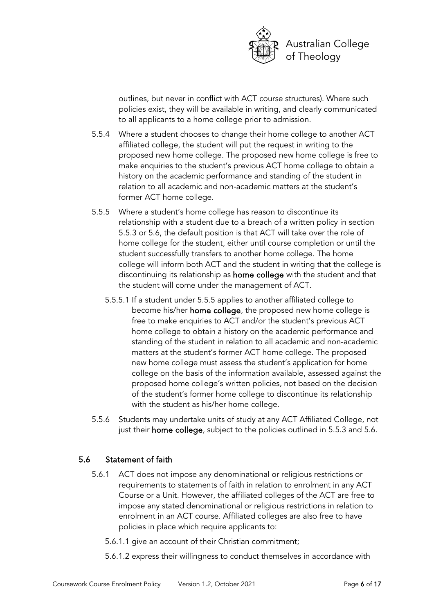

outlines, but never in conflict with ACT course structures). Where such policies exist, they will be available in writing, and clearly communicated to all applicants to a home college prior to admission.

- 5.5.4 Where a student chooses to change their home college to another ACT affiliated college, the student will put the request in writing to the proposed new home college. The proposed new home college is free to make enquiries to the student's previous ACT home college to obtain a history on the academic performance and standing of the student in relation to all academic and non-academic matters at the student's former ACT home college.
- 5.5.5 Where a student's home college has reason to discontinue its relationship with a student due to a breach of a written policy in section 5.5.3 or 5.6, the default position is that ACT will take over the role of home college for the student, either until course completion or until the student successfully transfers to another home college. The home college will inform both ACT and the student in writing that the college is discontinuing its relationship as home college with the student and that the student will come under the management of ACT.
	- 5.5.5.1 If a student under 5.5.5 applies to another affiliated college to become his/her home college, the proposed new home college is free to make enquiries to ACT and/or the student's previous ACT home college to obtain a history on the academic performance and standing of the student in relation to all academic and non-academic matters at the student's former ACT home college. The proposed new home college must assess the student's application for home college on the basis of the information available, assessed against the proposed home college's written policies, not based on the decision of the student's former home college to discontinue its relationship with the student as his/her home college.
- 5.5.6 Students may undertake units of study at any ACT Affiliated College, not just their home college, subject to the policies outlined in 5.5.3 and 5.6.

## 5.6 Statement of faith

- 5.6.1 ACT does not impose any denominational or religious restrictions or requirements to statements of faith in relation to enrolment in any ACT Course or a Unit. However, the affiliated colleges of the ACT are free to impose any stated denominational or religious restrictions in relation to enrolment in an ACT course. Affiliated colleges are also free to have policies in place which require applicants to:
	- 5.6.1.1 give an account of their Christian commitment;
	- 5.6.1.2 express their willingness to conduct themselves in accordance with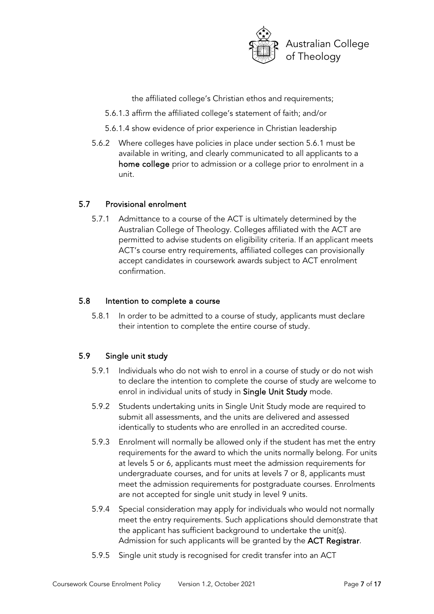

the affiliated college's Christian ethos and requirements;

- 5.6.1.3 affirm the affiliated college's statement of faith; and/or
- 5.6.1.4 show evidence of prior experience in Christian leadership
- 5.6.2 Where colleges have policies in place under section 5.6.1 must be available in writing, and clearly communicated to all applicants to a home college prior to admission or a college prior to enrolment in a unit.

#### 5.7 Provisional enrolment

5.7.1 Admittance to a course of the ACT is ultimately determined by the Australian College of Theology. Colleges affiliated with the ACT are permitted to advise students on eligibility criteria. If an applicant meets ACT's course entry requirements, affiliated colleges can provisionally accept candidates in coursework awards subject to ACT enrolment confirmation.

#### 5.8 Intention to complete a course

5.8.1 In order to be admitted to a course of study, applicants must declare their intention to complete the entire course of study.

#### 5.9 Single unit study

- 5.9.1 Individuals who do not wish to enrol in a course of study or do not wish to declare the intention to complete the course of study are welcome to enrol in individual units of study in Single Unit Study mode.
- 5.9.2 Students undertaking units in Single Unit Study mode are required to submit all assessments, and the units are delivered and assessed identically to students who are enrolled in an accredited course.
- 5.9.3 Enrolment will normally be allowed only if the student has met the entry requirements for the award to which the units normally belong. For units at levels 5 or 6, applicants must meet the admission requirements for undergraduate courses, and for units at levels 7 or 8, applicants must meet the admission requirements for postgraduate courses. Enrolments are not accepted for single unit study in level 9 units.
- 5.9.4 Special consideration may apply for individuals who would not normally meet the entry requirements. Such applications should demonstrate that the applicant has sufficient background to undertake the unit(s). Admission for such applicants will be granted by the **ACT Registrar**.
- 5.9.5 Single unit study is recognised for credit transfer into an ACT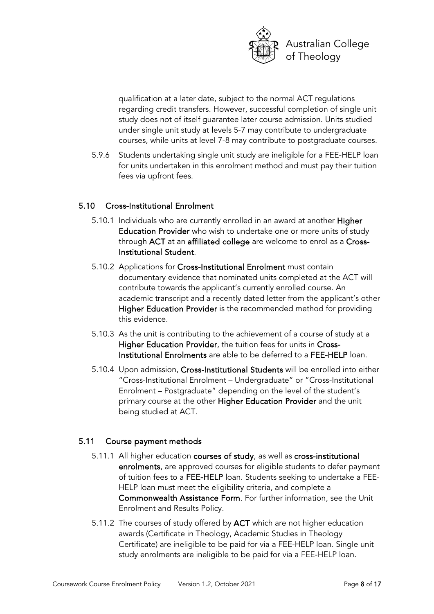

qualification at a later date, subject to the normal ACT regulations regarding credit transfers. However, successful completion of single unit study does not of itself guarantee later course admission. Units studied under single unit study at levels 5-7 may contribute to undergraduate courses, while units at level 7-8 may contribute to postgraduate courses.

5.9.6 Students undertaking single unit study are ineligible for a FEE-HELP loan for units undertaken in this enrolment method and must pay their tuition fees via upfront fees.

#### 5.10 Cross-Institutional Enrolment

- 5.10.1 Individuals who are currently enrolled in an award at another Higher Education Provider who wish to undertake one or more units of study through ACT at an affiliated college are welcome to enrol as a Cross-Institutional Student.
- 5.10.2 Applications for Cross-Institutional Enrolment must contain documentary evidence that nominated units completed at the ACT will contribute towards the applicant's currently enrolled course. An academic transcript and a recently dated letter from the applicant's other Higher Education Provider is the recommended method for providing this evidence.
- 5.10.3 As the unit is contributing to the achievement of a course of study at a Higher Education Provider, the tuition fees for units in Cross-Institutional Enrolments are able to be deferred to a FEE-HELP loan.
- 5.10.4 Upon admission, Cross-Institutional Students will be enrolled into either "Cross-Institutional Enrolment – Undergraduate" or "Cross-Institutional Enrolment – Postgraduate" depending on the level of the student's primary course at the other Higher Education Provider and the unit being studied at ACT.

#### 5.11 Course payment methods

- 5.11.1 All higher education courses of study, as well as cross-institutional enrolments, are approved courses for eligible students to defer payment of tuition fees to a FEE-HELP loan. Students seeking to undertake a FEE-HELP loan must meet the eligibility criteria, and complete a Commonwealth Assistance Form. For further information, see the Unit Enrolment and Results Policy.
- 5.11.2 The courses of study offered by ACT which are not higher education awards (Certificate in Theology, Academic Studies in Theology Certificate) are ineligible to be paid for via a FEE-HELP loan. Single unit study enrolments are ineligible to be paid for via a FEE-HELP loan.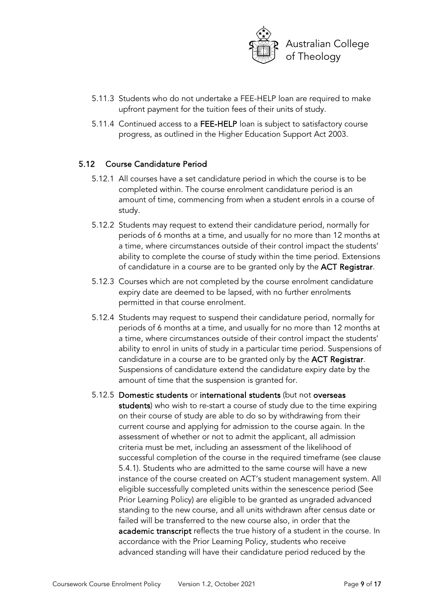

- 5.11.3 Students who do not undertake a FEE-HELP loan are required to make upfront payment for the tuition fees of their units of study.
- 5.11.4 Continued access to a FEE-HELP loan is subject to satisfactory course progress, as outlined in the Higher Education Support Act 2003.

#### 5.12 Course Candidature Period

- 5.12.1 All courses have a set candidature period in which the course is to be completed within. The course enrolment candidature period is an amount of time, commencing from when a student enrols in a course of study.
- 5.12.2 Students may request to extend their candidature period, normally for periods of 6 months at a time, and usually for no more than 12 months at a time, where circumstances outside of their control impact the students' ability to complete the course of study within the time period. Extensions of candidature in a course are to be granted only by the ACT Registrar.
- 5.12.3 Courses which are not completed by the course enrolment candidature expiry date are deemed to be lapsed, with no further enrolments permitted in that course enrolment.
- 5.12.4 Students may request to suspend their candidature period, normally for periods of 6 months at a time, and usually for no more than 12 months at a time, where circumstances outside of their control impact the students' ability to enrol in units of study in a particular time period. Suspensions of candidature in a course are to be granted only by the ACT Registrar. Suspensions of candidature extend the candidature expiry date by the amount of time that the suspension is granted for.
- 5.12.5 Domestic students or international students (but not overseas students) who wish to re-start a course of study due to the time expiring on their course of study are able to do so by withdrawing from their current course and applying for admission to the course again. In the assessment of whether or not to admit the applicant, all admission criteria must be met, including an assessment of the likelihood of successful completion of the course in the required timeframe (see clause 5.4.1). Students who are admitted to the same course will have a new instance of the course created on ACT's student management system. All eligible successfully completed units within the senescence period (See Prior Learning Policy) are eligible to be granted as ungraded advanced standing to the new course, and all units withdrawn after census date or failed will be transferred to the new course also, in order that the academic transcript reflects the true history of a student in the course. In accordance with the Prior Learning Policy, students who receive advanced standing will have their candidature period reduced by the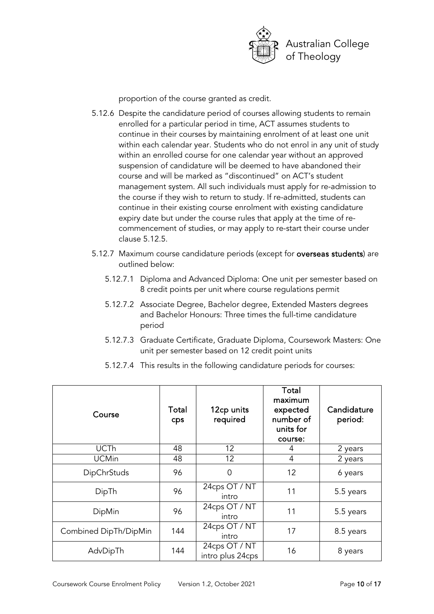

proportion of the course granted as credit.

- 5.12.6 Despite the candidature period of courses allowing students to remain enrolled for a particular period in time, ACT assumes students to continue in their courses by maintaining enrolment of at least one unit within each calendar year. Students who do not enrol in any unit of study within an enrolled course for one calendar year without an approved suspension of candidature will be deemed to have abandoned their course and will be marked as "discontinued" on ACT's student management system. All such individuals must apply for re-admission to the course if they wish to return to study. If re-admitted, students can continue in their existing course enrolment with existing candidature expiry date but under the course rules that apply at the time of recommencement of studies, or may apply to re-start their course under clause 5.12.5.
- 5.12.7 Maximum course candidature periods (except for overseas students) are outlined below:
	- 5.12.7.1 Diploma and Advanced Diploma: One unit per semester based on 8 credit points per unit where course regulations permit
	- 5.12.7.2 Associate Degree, Bachelor degree, Extended Masters degrees and Bachelor Honours: Three times the full-time candidature period
	- 5.12.7.3 Graduate Certificate, Graduate Diploma, Coursework Masters: One unit per semester based on 12 credit point units

| Course                | Total<br>cps | 12cp units<br>required            | Total<br>maximum<br>expected<br>number of<br>units for<br>course: | Candidature<br>period: |
|-----------------------|--------------|-----------------------------------|-------------------------------------------------------------------|------------------------|
| <b>UCTh</b>           | 48           | 12                                | 4                                                                 | 2 years                |
| <b>UCMin</b>          | 48           | 12                                | 4                                                                 | 2 years                |
| <b>DipChrStuds</b>    | 96           | 0                                 | 12                                                                | 6 years                |
| DipTh                 | 96           | 24cps OT / NT<br>intro            | 11                                                                | 5.5 years              |
| DipMin                | 96           | 24cps OT / NT<br>intro            | 11                                                                | 5.5 years              |
| Combined DipTh/DipMin | 144          | 24cps OT / NT<br>intro            | 17                                                                | 8.5 years              |
| AdvDipTh              | 144          | 24cps OT / NT<br>intro plus 24cps | 16                                                                | 8 years                |

5.12.7.4 This results in the following candidature periods for courses: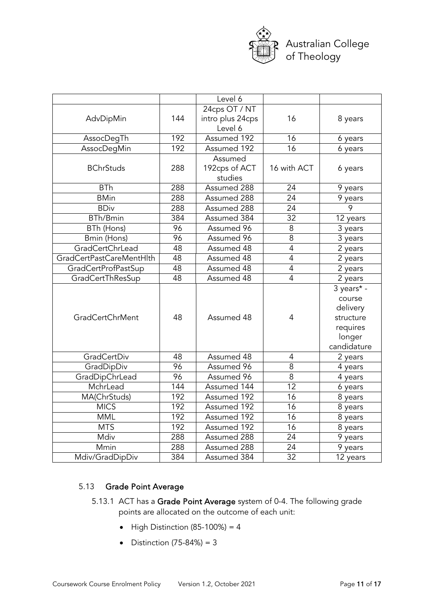

|                          |     | Level 6          |                 |                      |
|--------------------------|-----|------------------|-----------------|----------------------|
|                          |     | 24cps OT / NT    |                 |                      |
| AdvDipMin                | 144 | intro plus 24cps | 16              | 8 years              |
|                          |     | Level 6          |                 |                      |
| AssocDegTh               | 192 | Assumed 192      | 16              | 6 years              |
| AssocDegMin              | 192 | Assumed 192      | 16              | 6 years              |
|                          |     | Assumed          |                 |                      |
| <b>BChrStuds</b>         | 288 | 192cps of ACT    | 16 with ACT     | 6 years              |
|                          |     | studies          |                 |                      |
| <b>BTh</b>               | 288 | Assumed 288      | 24              | 9 years              |
| <b>BMin</b>              | 288 | Assumed 288      | $\overline{24}$ | $\overline{9}$ years |
| <b>BDiv</b>              | 288 | Assumed 288      | 24              | 9                    |
| <b>BTh/Bmin</b>          | 384 | Assumed 384      | 32              | 12 years             |
| BTh (Hons)               | 96  | Assumed 96       | 8               | 3 years              |
| Bmin (Hons)              | 96  | Assumed 96       | 8               | 3 years              |
| GradCertChrLead          | 48  | Assumed 48       | $\overline{4}$  | 2 years              |
| GradCertPastCareMentHlth | 48  | Assumed 48       | $\overline{4}$  | 2 years              |
| GradCertProfPastSup      | 48  | Assumed 48       | $\overline{4}$  | 2 years              |
| GradCertThResSup         | 48  | Assumed 48       | $\overline{4}$  | 2 years              |
|                          |     |                  |                 | 3 years* -           |
|                          |     |                  |                 | course               |
|                          |     |                  |                 | delivery             |
| <b>GradCertChrMent</b>   | 48  | Assumed 48       | 4               | structure            |
|                          |     |                  |                 | requires             |
|                          |     |                  |                 | longer               |
|                          |     |                  |                 | candidature          |
| GradCertDiv              | 48  | Assumed 48       | 4               | 2 years              |
| GradDipDiv               | 96  | Assumed 96       | 8               | 4 years              |
| GradDipChrLead           | 96  | Assumed 96       | $\overline{8}$  | 4 years              |
| MchrLead                 | 144 | Assumed 144      | $\overline{12}$ | 6 years              |
| MA(ChrStuds)             | 192 | Assumed 192      | 16              | 8 years              |
| <b>MICS</b>              | 192 | Assumed 192      | 16              | 8 years              |
| <b>MML</b>               | 192 | Assumed 192      | 16              | 8 years              |
| <b>MTS</b>               | 192 | Assumed 192      | $\overline{16}$ | 8 years              |
| Mdiv                     | 288 | Assumed 288      | 24              | 9 years              |
| Mmin                     | 288 | Assumed 288      | 24              | 9 years              |
| Mdiv/GradDipDiv          | 384 | Assumed 384      | $\overline{32}$ | 12 years             |

### 5.13 Grade Point Average

- 5.13.1 ACT has a Grade Point Average system of 0-4. The following grade points are allocated on the outcome of each unit:
	- High Distinction (85-100%) =  $4$
	- Distinction  $(75-84%) = 3$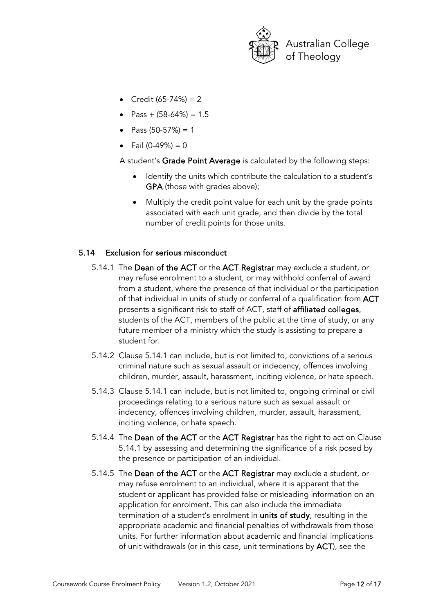

- Credit  $(65-74%) = 2$
- Pass +  $(58-64%) = 1.5$
- Pass  $(50-57%) = 1$
- Fail  $(0-49%) = 0$

A student's Grade Point Average is calculated by the following steps:

- Identify the units which contribute the calculation to a student's GPA (those with grades above);
- Multiply the credit point value for each unit by the grade points associated with each unit grade, and then divide by the total number of credit points for those units.

#### 5.14 Exclusion for serious misconduct

- 5.14.1 The Dean of the ACT or the ACT Registrar may exclude a student, or may refuse enrolment to a student, or may withhold conferral of award from a student, where the presence of that individual or the participation of that individual in units of study or conferral of a qualification from ACT presents a significant risk to staff of ACT, staff of affiliated colleges, students of the ACT, members of the public at the time of study, or any future member of a ministry which the study is assisting to prepare a student for.
- 5.14.2 Clause 5.14.1 can include, but is not limited to, convictions of a serious criminal nature such as sexual assault or indecency, offences involving children, murder, assault, harassment, inciting violence, or hate speech.
- 5.14.3 Clause 5.14.1 can include, but is not limited to, ongoing criminal or civil proceedings relating to a serious nature such as sexual assault or indecency, offences involving children, murder, assault, harassment, inciting violence, or hate speech.
- 5.14.4 The Dean of the ACT or the ACT Registrar has the right to act on Clause 5.14.1 by assessing and determining the significance of a risk posed by the presence or participation of an individual.
- 5.14.5 The Dean of the ACT or the ACT Registrar may exclude a student, or may refuse enrolment to an individual, where it is apparent that the student or applicant has provided false or misleading information on an application for enrolment. This can also include the immediate termination of a student's enrolment in **units of study**, resulting in the appropriate academic and financial penalties of withdrawals from those units. For further information about academic and financial implications of unit withdrawals (or in this case, unit terminations by ACT), see the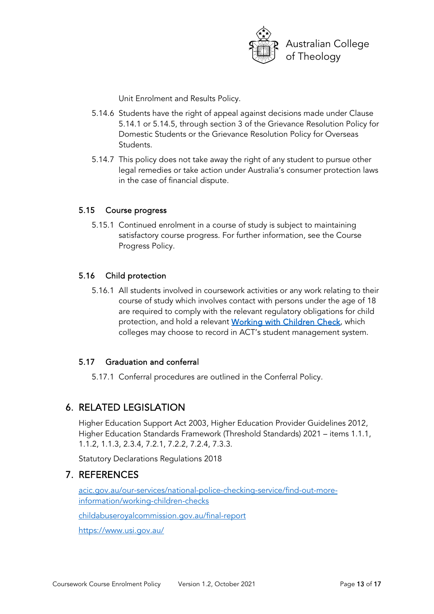

Unit Enrolment and Results Policy.

- 5.14.6 Students have the right of appeal against decisions made under Clause 5.14.1 or 5.14.5, through section 3 of the Grievance Resolution Policy for Domestic Students or the Grievance Resolution Policy for Overseas Students.
- 5.14.7 This policy does not take away the right of any student to pursue other legal remedies or take action under Australia's consumer protection laws in the case of financial dispute.

#### 5.15 Course progress

5.15.1 Continued enrolment in a course of study is subject to maintaining satisfactory course progress. For further information, see the Course Progress Policy.

#### 5.16 Child protection

5.16.1 All students involved in coursework activities or any work relating to their course of study which involves contact with persons under the age of 18 are required to comply with the relevant regulatory obligations for child protection, and hold a relevant [Working with Children Check,](https://www.acic.gov.au/our-services/national-police-checking-service/find-out-more-information/working-children-checks) which colleges may choose to record in ACT's student management system.

#### 5.17 Graduation and conferral

5.17.1 Conferral procedures are outlined in the Conferral Policy.

## 6. RELATED LEGISLATION

Higher Education Support Act 2003, Higher Education Provider Guidelines 2012, Higher Education Standards Framework (Threshold Standards) 2021 – items 1.1.1, 1.1.2, 1.1.3, 2.3.4, 7.2.1, 7.2.2, 7.2.4, 7.3.3.

Statutory Declarations Regulations 2018

## 7. REFERENCES

[acic.gov.au/our-services/national-police-checking-service/find-out-more](https://www.acic.gov.au/our-services/national-police-checking-service/find-out-more-information/working-children-checks)[information/working-children-checks](https://www.acic.gov.au/our-services/national-police-checking-service/find-out-more-information/working-children-checks)

[childabuseroyalcommission.gov.au/final-report](https://www.childabuseroyalcommission.gov.au/final-report)

https://www.usi.gov.au/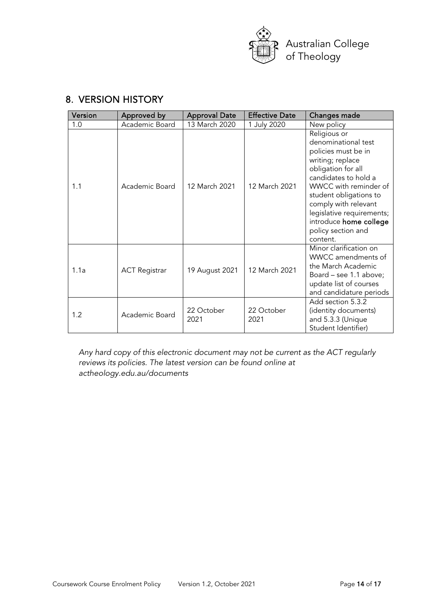

# 8. VERSION HISTORY

| Version | Approved by          | <b>Approval Date</b> | <b>Effective Date</b> | Changes made                                                                                                                                                                                                                                                                                     |
|---------|----------------------|----------------------|-----------------------|--------------------------------------------------------------------------------------------------------------------------------------------------------------------------------------------------------------------------------------------------------------------------------------------------|
| 1.0     | Academic Board       | 13 March 2020        | 1 July 2020           | New policy                                                                                                                                                                                                                                                                                       |
| 1.1     | Academic Board       | 12 March 2021        | 12 March 2021         | Religious or<br>denominational test<br>policies must be in<br>writing; replace<br>obligation for all<br>candidates to hold a<br>WWCC with reminder of<br>student obligations to<br>comply with relevant<br>legislative requirements;<br>introduce home college<br>policy section and<br>content. |
| 1.1a    | <b>ACT Registrar</b> | 19 August 2021       | 12 March 2021         | Minor clarification on<br>WWCC amendments of<br>the March Academic<br>Board – see 1.1 above;<br>update list of courses<br>and candidature periods                                                                                                                                                |
| 1.2     | Academic Board       | 22 October<br>2021   | 22 October<br>2021    | Add section 5.3.2<br>(identity documents)<br>and 5.3.3 (Unique<br>Student Identifier)                                                                                                                                                                                                            |

*Any hard copy of this electronic document may not be current as the ACT regularly reviews its policies. The latest version can be found online at actheology.edu.au/documents*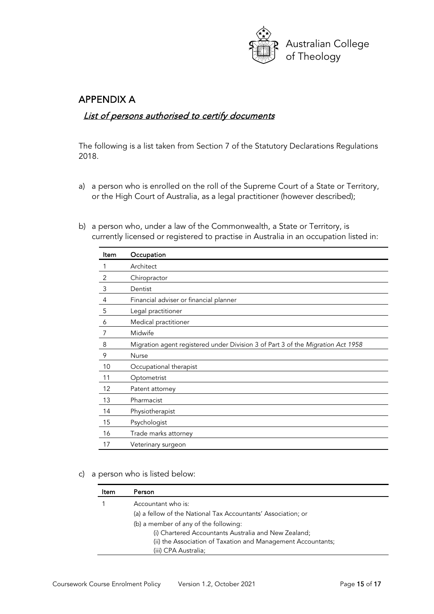

## APPENDIX A

## List of persons authorised to certify documents

The following is a list taken from Section 7 of the Statutory Declarations Regulations 2018.

- a) a person who is enrolled on the roll of the Supreme Court of a State or Territory, or the High Court of Australia, as a legal practitioner (however described);
- b) a person who, under a law of the Commonwealth, a State or Territory, is currently licensed or registered to practise in Australia in an occupation listed in:

| Item | Occupation                                                                      |
|------|---------------------------------------------------------------------------------|
|      | Architect                                                                       |
| 2    | Chiropractor                                                                    |
| 3    | Dentist                                                                         |
| 4    | Financial adviser or financial planner                                          |
| 5    | Legal practitioner                                                              |
| 6    | Medical practitioner                                                            |
| 7    | Midwife                                                                         |
| 8    | Migration agent registered under Division 3 of Part 3 of the Migration Act 1958 |
| 9    | Nurse                                                                           |
| 10   | Occupational therapist                                                          |
| 11   | Optometrist                                                                     |
| 12   | Patent attorney                                                                 |
| 13   | Pharmacist                                                                      |
| 14   | Physiotherapist                                                                 |
| 15   | Psychologist                                                                    |
| 16   | Trade marks attorney                                                            |
| 17   | Veterinary surgeon                                                              |

c) a person who is listed below:

| Item | Person                                                        |
|------|---------------------------------------------------------------|
|      | Accountant who is:                                            |
|      | (a) a fellow of the National Tax Accountants' Association; or |
|      | (b) a member of any of the following:                         |
|      | (i) Chartered Accountants Australia and New Zealand;          |
|      | (ii) the Association of Taxation and Management Accountants;  |
|      | (iii) CPA Australia;                                          |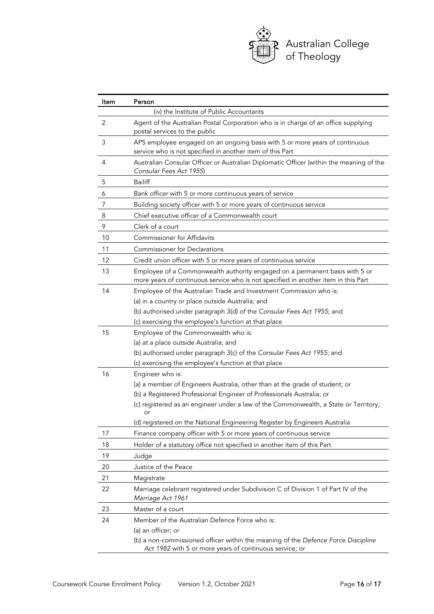

| ltem | Person                                                                                                                                                                                           |
|------|--------------------------------------------------------------------------------------------------------------------------------------------------------------------------------------------------|
|      | (iv) the Institute of Public Accountants                                                                                                                                                         |
| 2    | Agent of the Australian Postal Corporation who is in charge of an office supplying<br>postal services to the public                                                                              |
| 3    | APS employee engaged on an ongoing basis with 5 or more years of continuous<br>service who is not specified in another item of this Part                                                         |
| 4    | Australian Consular Officer or Australian Diplomatic Officer (within the meaning of the<br>Consular Fees Act 1955)                                                                               |
| 5    | <b>Bailiff</b>                                                                                                                                                                                   |
| 6    | Bank officer with 5 or more continuous years of service                                                                                                                                          |
| 7    | Building society officer with 5 or more years of continuous service                                                                                                                              |
| 8    | Chief executive officer of a Commonwealth court                                                                                                                                                  |
| 9    | Clerk of a court                                                                                                                                                                                 |
| 10   | <b>Commissioner for Affidavits</b>                                                                                                                                                               |
| 11   | <b>Commissioner for Declarations</b>                                                                                                                                                             |
| 12   | Credit union officer with 5 or more years of continuous service                                                                                                                                  |
| 13   | Employee of a Commonwealth authority engaged on a permanent basis with 5 or<br>more years of continuous service who is not specified in another item in this Part                                |
| 14   | Employee of the Australian Trade and Investment Commission who is:<br>(a) in a country or place outside Australia; and<br>(b) authorised under paragraph 3(d) of the Consular Fees Act 1955; and |
|      | (c) exercising the employee's function at that place                                                                                                                                             |
| 15   | Employee of the Commonwealth who is:                                                                                                                                                             |
|      | (a) at a place outside Australia; and                                                                                                                                                            |
|      | (b) authorised under paragraph 3(c) of the Consular Fees Act 1955; and                                                                                                                           |
|      | (c) exercising the employee's function at that place                                                                                                                                             |
| 16   | Engineer who is:                                                                                                                                                                                 |
|      | (a) a member of Engineers Australia, other than at the grade of student; or                                                                                                                      |
|      | (b) a Registered Professional Engineer of Professionals Australia; or                                                                                                                            |
|      | (c) registered as an engineer under a law of the Commonwealth, a State or Territory;<br>or                                                                                                       |
|      | (d) registered on the National Engineering Register by Engineers Australia                                                                                                                       |
| 17   | Finance company officer with 5 or more years of continuous service                                                                                                                               |
| 18   | Holder of a statutory office not specified in another item of this Part                                                                                                                          |
| 19   | Judge                                                                                                                                                                                            |
| 20   | Justice of the Peace                                                                                                                                                                             |
| 21   | Magistrate                                                                                                                                                                                       |
| 22   | Marriage celebrant registered under Subdivision C of Division 1 of Part IV of the<br>Marriage Act 1961                                                                                           |
| 23   | Master of a court                                                                                                                                                                                |
| 24   | Member of the Australian Defence Force who is:                                                                                                                                                   |
|      | (a) an officer; or                                                                                                                                                                               |
|      | (b) a non-commissioned officer within the meaning of the Defence Force Discipline<br>Act 1982 with 5 or more years of continuous service; or                                                     |